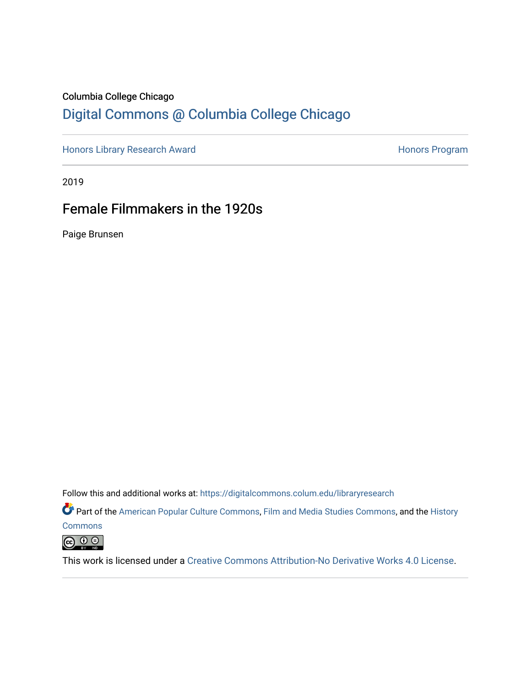### Columbia College Chicago [Digital Commons @ Columbia College Chicago](https://digitalcommons.colum.edu/)

[Honors Library Research Award](https://digitalcommons.colum.edu/libraryresearch) **Honors Program** Honors Program

2019

## Female Filmmakers in the 1920s

Paige Brunsen

Follow this and additional works at: [https://digitalcommons.colum.edu/libraryresearch](https://digitalcommons.colum.edu/libraryresearch?utm_source=digitalcommons.colum.edu%2Flibraryresearch%2F4&utm_medium=PDF&utm_campaign=PDFCoverPages) 

Part of the [American Popular Culture Commons,](http://network.bepress.com/hgg/discipline/443?utm_source=digitalcommons.colum.edu%2Flibraryresearch%2F4&utm_medium=PDF&utm_campaign=PDFCoverPages) [Film and Media Studies Commons](http://network.bepress.com/hgg/discipline/563?utm_source=digitalcommons.colum.edu%2Flibraryresearch%2F4&utm_medium=PDF&utm_campaign=PDFCoverPages), and the [History](http://network.bepress.com/hgg/discipline/489?utm_source=digitalcommons.colum.edu%2Flibraryresearch%2F4&utm_medium=PDF&utm_campaign=PDFCoverPages)

**[Commons](http://network.bepress.com/hgg/discipline/489?utm_source=digitalcommons.colum.edu%2Flibraryresearch%2F4&utm_medium=PDF&utm_campaign=PDFCoverPages)** 



This work is licensed under a [Creative Commons Attribution-No Derivative Works 4.0 License.](https://creativecommons.org/licenses/by-nd/4.0/)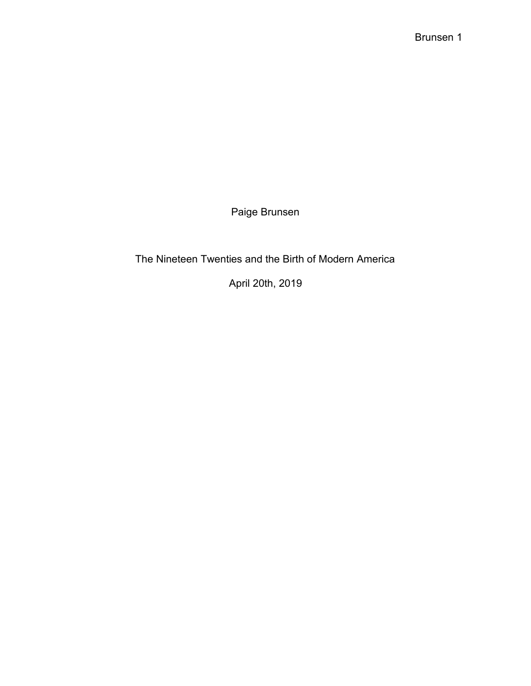Paige Brunsen

The Nineteen Twenties and the Birth of Modern America

April 20th, 2019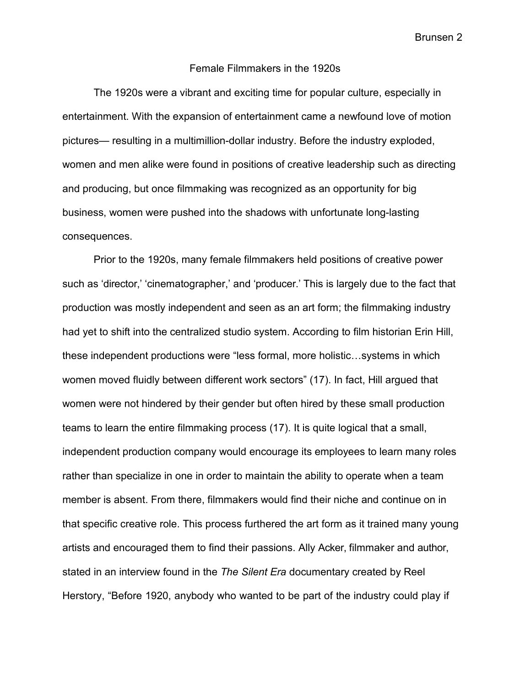#### Female Filmmakers in the 1920s

The 1920s were a vibrant and exciting time for popular culture, especially in entertainment. With the expansion of entertainment came a newfound love of motion pictures— resulting in a multimillion-dollar industry. Before the industry exploded, women and men alike were found in positions of creative leadership such as directing and producing, but once filmmaking was recognized as an opportunity for big business, women were pushed into the shadows with unfortunate long-lasting consequences.

Prior to the 1920s, many female filmmakers held positions of creative power such as 'director,' 'cinematographer,' and 'producer.' This is largely due to the fact that production was mostly independent and seen as an art form; the filmmaking industry had yet to shift into the centralized studio system. According to film historian Erin Hill, these independent productions were "less formal, more holistic…systems in which women moved fluidly between different work sectors" (17). In fact, Hill argued that women were not hindered by their gender but often hired by these small production teams to learn the entire filmmaking process (17). It is quite logical that a small, independent production company would encourage its employees to learn many roles rather than specialize in one in order to maintain the ability to operate when a team member is absent. From there, filmmakers would find their niche and continue on in that specific creative role. This process furthered the art form as it trained many young artists and encouraged them to find their passions. Ally Acker, filmmaker and author, stated in an interview found in the *The Silent Era* documentary created by Reel Herstory, "Before 1920, anybody who wanted to be part of the industry could play if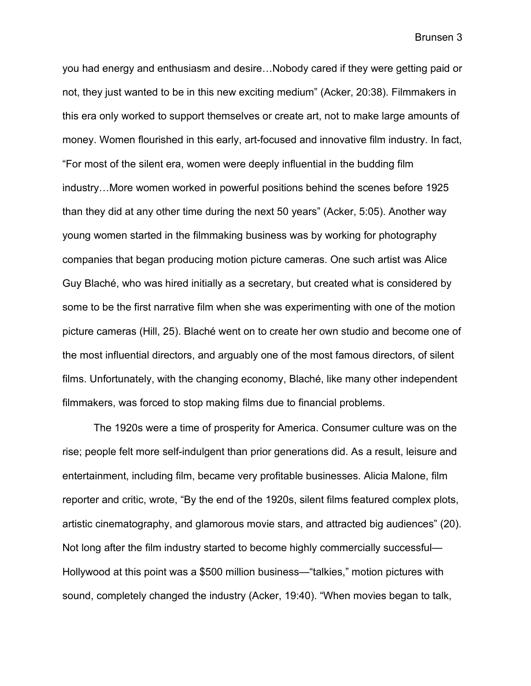you had energy and enthusiasm and desire…Nobody cared if they were getting paid or not, they just wanted to be in this new exciting medium" (Acker, 20:38). Filmmakers in this era only worked to support themselves or create art, not to make large amounts of money. Women flourished in this early, art-focused and innovative film industry. In fact, "For most of the silent era, women were deeply influential in the budding film industry…More women worked in powerful positions behind the scenes before 1925 than they did at any other time during the next 50 years" (Acker, 5:05). Another way young women started in the filmmaking business was by working for photography companies that began producing motion picture cameras. One such artist was Alice Guy Blaché, who was hired initially as a secretary, but created what is considered by some to be the first narrative film when she was experimenting with one of the motion picture cameras (Hill, 25). Blaché went on to create her own studio and become one of the most influential directors, and arguably one of the most famous directors, of silent films. Unfortunately, with the changing economy, Blaché, like many other independent filmmakers, was forced to stop making films due to financial problems.

The 1920s were a time of prosperity for America. Consumer culture was on the rise; people felt more self-indulgent than prior generations did. As a result, leisure and entertainment, including film, became very profitable businesses. Alicia Malone, film reporter and critic, wrote, "By the end of the 1920s, silent films featured complex plots, artistic cinematography, and glamorous movie stars, and attracted big audiences" (20). Not long after the film industry started to become highly commercially successful— Hollywood at this point was a \$500 million business—"talkies," motion pictures with sound, completely changed the industry (Acker, 19:40). "When movies began to talk,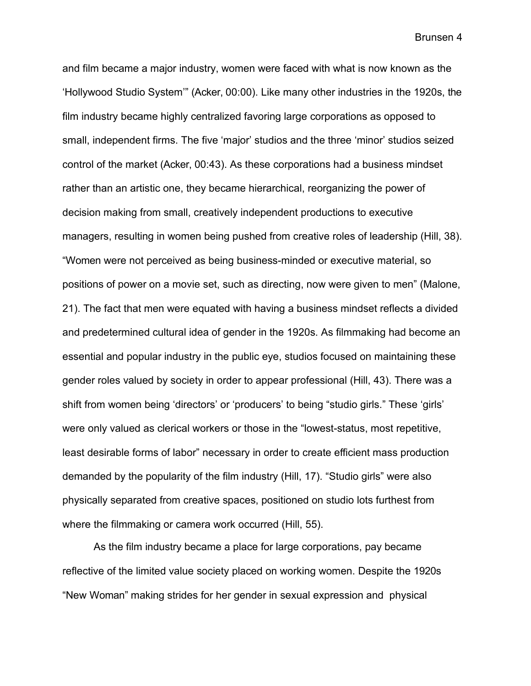and film became a major industry, women were faced with what is now known as the 'Hollywood Studio System'" (Acker, 00:00). Like many other industries in the 1920s, the film industry became highly centralized favoring large corporations as opposed to small, independent firms. The five 'major' studios and the three 'minor' studios seized control of the market (Acker, 00:43). As these corporations had a business mindset rather than an artistic one, they became hierarchical, reorganizing the power of decision making from small, creatively independent productions to executive managers, resulting in women being pushed from creative roles of leadership (Hill, 38). "Women were not perceived as being business-minded or executive material, so positions of power on a movie set, such as directing, now were given to men" (Malone, 21). The fact that men were equated with having a business mindset reflects a divided and predetermined cultural idea of gender in the 1920s. As filmmaking had become an essential and popular industry in the public eye, studios focused on maintaining these gender roles valued by society in order to appear professional (Hill, 43). There was a shift from women being 'directors' or 'producers' to being "studio girls." These 'girls' were only valued as clerical workers or those in the "lowest-status, most repetitive, least desirable forms of labor" necessary in order to create efficient mass production demanded by the popularity of the film industry (Hill, 17). "Studio girls" were also physically separated from creative spaces, positioned on studio lots furthest from where the filmmaking or camera work occurred (Hill, 55).

As the film industry became a place for large corporations, pay became reflective of the limited value society placed on working women. Despite the 1920s "New Woman" making strides for her gender in sexual expression and physical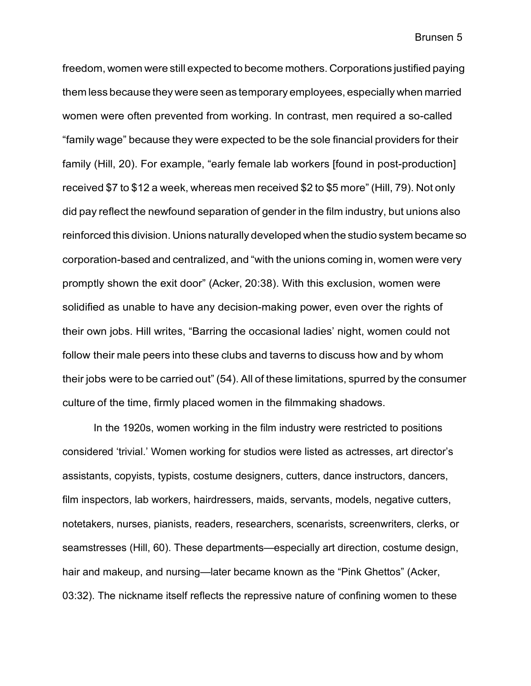freedom, women were still expected to become mothers. Corporations justified paying them less because they were seen as temporary employees, especially when married women were often prevented from working. In contrast, men required a so-called "family wage" because they were expected to be the sole financial providers for their family (Hill, 20). For example, "early female lab workers [found in post-production] received \$7 to \$12 a week, whereas men received \$2 to \$5 more" (Hill, 79). Not only did pay reflect the newfound separation of gender in the film industry, but unions also reinforced this division. Unions naturally developed when the studio system became so corporation-based and centralized, and "with the unions coming in, women were very promptly shown the exit door" (Acker, 20:38). With this exclusion, women were solidified as unable to have any decision-making power, even over the rights of their own jobs. Hill writes, "Barring the occasional ladies' night, women could not follow their male peers into these clubs and taverns to discuss how and by whom their jobs were to be carried out" (54). All of these limitations, spurred by the consumer culture of the time, firmly placed women in the filmmaking shadows.

In the 1920s, women working in the film industry were restricted to positions considered 'trivial.' Women working for studios were listed as actresses, art director's assistants, copyists, typists, costume designers, cutters, dance instructors, dancers, film inspectors, lab workers, hairdressers, maids, servants, models, negative cutters, notetakers, nurses, pianists, readers, researchers, scenarists, screenwriters, clerks, or seamstresses (Hill, 60). These departments—especially art direction, costume design, hair and makeup, and nursing—later became known as the "Pink Ghettos" (Acker, 03:32). The nickname itself reflects the repressive nature of confining women to these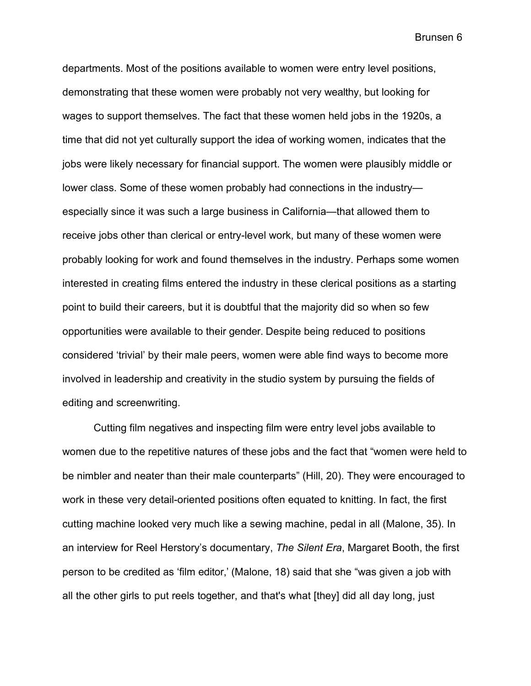departments. Most of the positions available to women were entry level positions, demonstrating that these women were probably not very wealthy, but looking for wages to support themselves. The fact that these women held jobs in the 1920s, a time that did not yet culturally support the idea of working women, indicates that the jobs were likely necessary for financial support. The women were plausibly middle or lower class. Some of these women probably had connections in the industry especially since it was such a large business in California—that allowed them to receive jobs other than clerical or entry-level work, but many of these women were probably looking for work and found themselves in the industry. Perhaps some women interested in creating films entered the industry in these clerical positions as a starting point to build their careers, but it is doubtful that the majority did so when so few opportunities were available to their gender. Despite being reduced to positions considered 'trivial' by their male peers, women were able find ways to become more involved in leadership and creativity in the studio system by pursuing the fields of editing and screenwriting.

Cutting film negatives and inspecting film were entry level jobs available to women due to the repetitive natures of these jobs and the fact that "women were held to be nimbler and neater than their male counterparts" (Hill, 20). They were encouraged to work in these very detail-oriented positions often equated to knitting. In fact, the first cutting machine looked very much like a sewing machine, pedal in all (Malone, 35). In an interview for Reel Herstory's documentary, *The Silent Era*, Margaret Booth, the first person to be credited as 'film editor,' (Malone, 18) said that she "was given a job with all the other girls to put reels together, and that's what [they] did all day long, just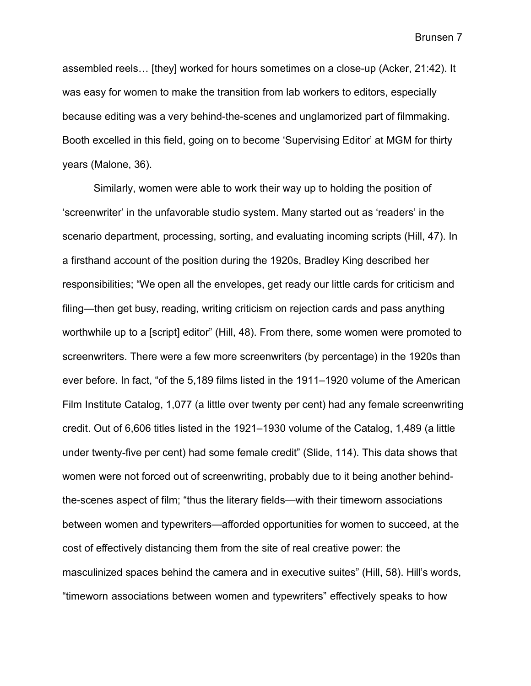assembled reels… [they] worked for hours sometimes on a close-up (Acker, 21:42). It was easy for women to make the transition from lab workers to editors, especially because editing was a very behind-the-scenes and unglamorized part of filmmaking. Booth excelled in this field, going on to become 'Supervising Editor' at MGM for thirty years (Malone, 36).

Similarly, women were able to work their way up to holding the position of 'screenwriter' in the unfavorable studio system. Many started out as 'readers' in the scenario department, processing, sorting, and evaluating incoming scripts (Hill, 47). In a firsthand account of the position during the 1920s, Bradley King described her responsibilities; "We open all the envelopes, get ready our little cards for criticism and filing—then get busy, reading, writing criticism on rejection cards and pass anything worthwhile up to a [script] editor" (Hill, 48). From there, some women were promoted to screenwriters. There were a few more screenwriters (by percentage) in the 1920s than ever before. In fact, "of the 5,189 films listed in the 1911–1920 volume of the American Film Institute Catalog, 1,077 (a little over twenty per cent) had any female screenwriting credit. Out of 6,606 titles listed in the 1921–1930 volume of the Catalog, 1,489 (a little under twenty-five per cent) had some female credit" (Slide, 114). This data shows that women were not forced out of screenwriting, probably due to it being another behindthe-scenes aspect of film; "thus the literary fields—with their timeworn associations between women and typewriters—afforded opportunities for women to succeed, at the cost of effectively distancing them from the site of real creative power: the masculinized spaces behind the camera and in executive suites" (Hill, 58). Hill's words, "timeworn associations between women and typewriters" effectively speaks to how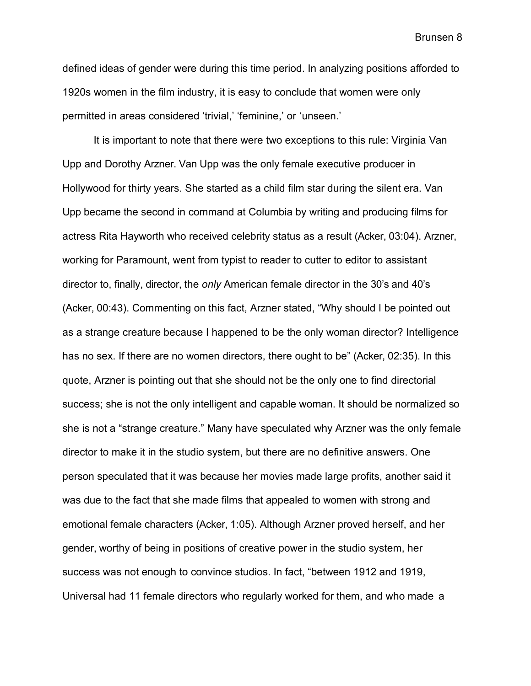defined ideas of gender were during this time period. In analyzing positions afforded to 1920s women in the film industry, it is easy to conclude that women were only permitted in areas considered 'trivial,' 'feminine,' or 'unseen.'

It is important to note that there were two exceptions to this rule: Virginia Van Upp and Dorothy Arzner. Van Upp was the only female executive producer in Hollywood for thirty years. She started as a child film star during the silent era. Van Upp became the second in command at Columbia by writing and producing films for actress Rita Hayworth who received celebrity status as a result (Acker, 03:04). Arzner, working for Paramount, went from typist to reader to cutter to editor to assistant director to, finally, director, the *only* American female director in the 30's and 40's (Acker, 00:43). Commenting on this fact, Arzner stated, "Why should I be pointed out as a strange creature because I happened to be the only woman director? Intelligence has no sex. If there are no women directors, there ought to be" (Acker, 02:35). In this quote, Arzner is pointing out that she should not be the only one to find directorial success; she is not the only intelligent and capable woman. It should be normalized so she is not a "strange creature." Many have speculated why Arzner was the only female director to make it in the studio system, but there are no definitive answers. One person speculated that it was because her movies made large profits, another said it was due to the fact that she made films that appealed to women with strong and emotional female characters (Acker, 1:05). Although Arzner proved herself, and her gender, worthy of being in positions of creative power in the studio system, her success was not enough to convince studios. In fact, "between 1912 and 1919, Universal had 11 female directors who regularly worked for them, and who made a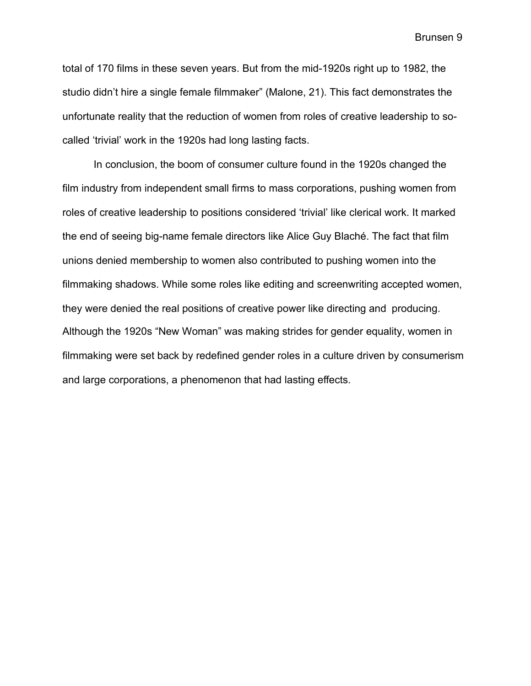total of 170 films in these seven years. But from the mid-1920s right up to 1982, the studio didn't hire a single female filmmaker" (Malone, 21). This fact demonstrates the unfortunate reality that the reduction of women from roles of creative leadership to socalled 'trivial' work in the 1920s had long lasting facts.

In conclusion, the boom of consumer culture found in the 1920s changed the film industry from independent small firms to mass corporations, pushing women from roles of creative leadership to positions considered 'trivial' like clerical work. It marked the end of seeing big-name female directors like Alice Guy Blaché. The fact that film unions denied membership to women also contributed to pushing women into the filmmaking shadows. While some roles like editing and screenwriting accepted women, they were denied the real positions of creative power like directing and producing. Although the 1920s "New Woman" was making strides for gender equality, women in filmmaking were set back by redefined gender roles in a culture driven by consumerism and large corporations, a phenomenon that had lasting effects.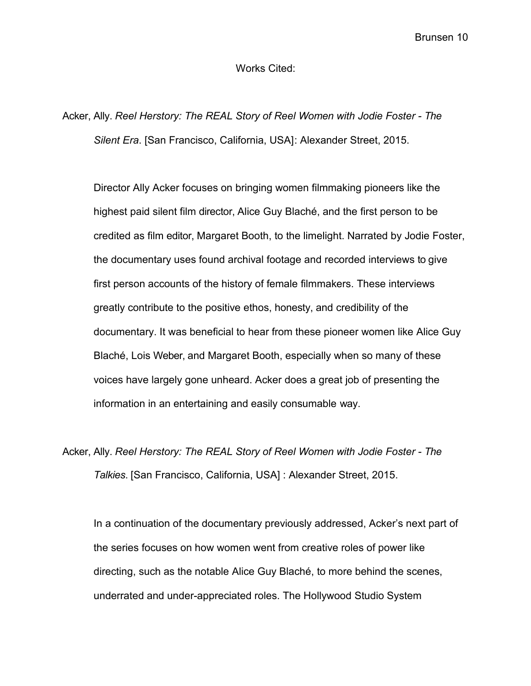### Works Cited:

Acker, Ally. *Reel Herstory: The REAL Story of Reel Women with Jodie Foster - The Silent Era*. [San Francisco, California, USA]: Alexander Street, 2015.

Director Ally Acker focuses on bringing women filmmaking pioneers like the highest paid silent film director, Alice Guy Blaché, and the first person to be credited as film editor, Margaret Booth, to the limelight. Narrated by Jodie Foster, the documentary uses found archival footage and recorded interviews to give first person accounts of the history of female filmmakers. These interviews greatly contribute to the positive ethos, honesty, and credibility of the documentary. It was beneficial to hear from these pioneer women like Alice Guy Blaché, Lois Weber, and Margaret Booth, especially when so many of these voices have largely gone unheard. Acker does a great job of presenting the information in an entertaining and easily consumable way.

Acker, Ally. *Reel Herstory: The REAL Story of Reel Women with Jodie Foster - The Talkies*. [San Francisco, California, USA] : Alexander Street, 2015.

In a continuation of the documentary previously addressed, Acker's next part of the series focuses on how women went from creative roles of power like directing, such as the notable Alice Guy Blaché, to more behind the scenes, underrated and under-appreciated roles. The Hollywood Studio System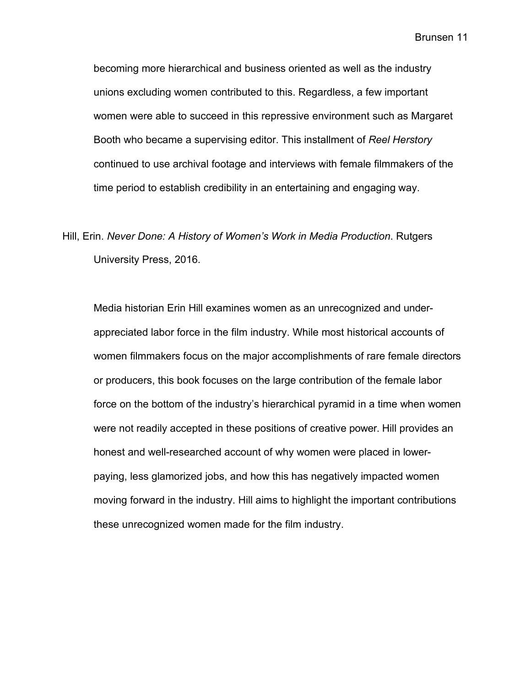becoming more hierarchical and business oriented as well as the industry unions excluding women contributed to this. Regardless, a few important women were able to succeed in this repressive environment such as Margaret Booth who became a supervising editor. This installment of *Reel Herstory*  continued to use archival footage and interviews with female filmmakers of the time period to establish credibility in an entertaining and engaging way.

# Hill, Erin. *Never Done: A History of Women's Work in Media Production*. Rutgers University Press, 2016.

Media historian Erin Hill examines women as an unrecognized and underappreciated labor force in the film industry. While most historical accounts of women filmmakers focus on the major accomplishments of rare female directors or producers, this book focuses on the large contribution of the female labor force on the bottom of the industry's hierarchical pyramid in a time when women were not readily accepted in these positions of creative power. Hill provides an honest and well-researched account of why women were placed in lowerpaying, less glamorized jobs, and how this has negatively impacted women moving forward in the industry. Hill aims to highlight the important contributions these unrecognized women made for the film industry.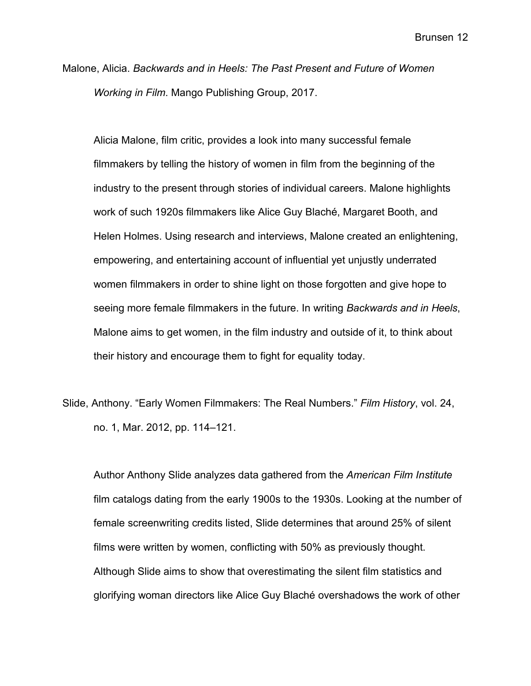Malone, Alicia. *Backwards and in Heels: The Past Present and Future of Women Working in Film*. Mango Publishing Group, 2017.

Alicia Malone, film critic, provides a look into many successful female filmmakers by telling the history of women in film from the beginning of the industry to the present through stories of individual careers. Malone highlights work of such 1920s filmmakers like Alice Guy Blaché, Margaret Booth, and Helen Holmes. Using research and interviews, Malone created an enlightening, empowering, and entertaining account of influential yet unjustly underrated women filmmakers in order to shine light on those forgotten and give hope to seeing more female filmmakers in the future. In writing *Backwards and in Heels*, Malone aims to get women, in the film industry and outside of it, to think about their history and encourage them to fight for equality today.

Slide, Anthony. "Early Women Filmmakers: The Real Numbers." *Film History*, vol. 24, no. 1, Mar. 2012, pp. 114–121.

Author Anthony Slide analyzes data gathered from the *American Film Institute*  film catalogs dating from the early 1900s to the 1930s. Looking at the number of female screenwriting credits listed, Slide determines that around 25% of silent films were written by women, conflicting with 50% as previously thought. Although Slide aims to show that overestimating the silent film statistics and glorifying woman directors like Alice Guy Blaché overshadows the work of other